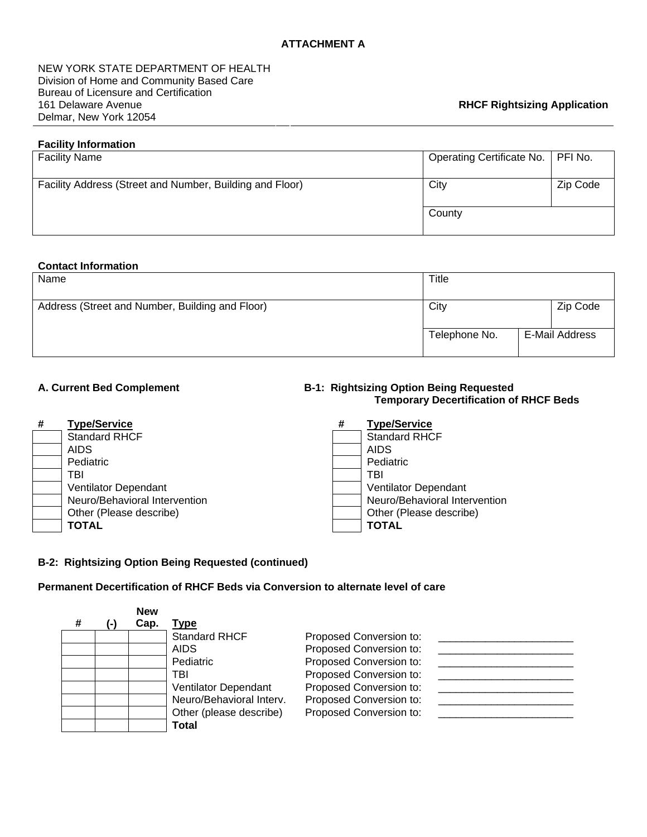NEW YORK STATE DEPARTMENT OF HEALTH Division of Home and Community Based Care Bureau of Licensure and Certification 161 Delaware Avenue Delmar, New York 12054

## **Facility Information**

| <b>Facility Name</b>                                     | Operating Certificate No.   PFI No. |          |
|----------------------------------------------------------|-------------------------------------|----------|
| Facility Address (Street and Number, Building and Floor) | City                                | Zip Code |
|                                                          | County                              |          |

#### **Contact Information**

| Name                                            | Title         |  |                |
|-------------------------------------------------|---------------|--|----------------|
| Address (Street and Number, Building and Floor) | City          |  | Zip Code       |
|                                                 | Telephone No. |  | E-Mail Address |

#### **# Type/Service # Type/Service** Standard RHCF

AIDS AIDS Pediatric TBI TBI Ventilator Dependant Ventilator Dependant Other (Please describe) **TOTAL TOTAL** 

## A. Current Bed Complement **B-1: Rightsizing Option Being Requested Temporary Decertification of RHCF Beds**

| <b>Type/Service</b>           | # | <b>Type/Service</b>           |
|-------------------------------|---|-------------------------------|
| <b>Standard RHCF</b>          |   | <b>Standard RHCF</b>          |
| <b>AIDS</b>                   |   | <b>AIDS</b>                   |
| Pediatric                     |   | Pediatric                     |
| TBI                           |   | TBI                           |
| <b>Ventilator Dependant</b>   |   | Ventilator Dependant          |
| Neuro/Behavioral Intervention |   | Neuro/Behavioral Intervention |
| Other (Please describe)       |   | Other (Please describe)       |
| <b>TOTAL</b>                  |   | <b>TOTAL</b>                  |

## **B-2: Rightsizing Option Being Requested (continued)**

# **Permanent Decertification of RHCF Beds via Conversion to alternate level of care**

|   | <b>New</b> |                          |                         |  |
|---|------------|--------------------------|-------------------------|--|
| # | Cap.       | Type                     |                         |  |
|   |            | <b>Standard RHCF</b>     | Proposed Conversion to: |  |
|   |            | <b>AIDS</b>              | Proposed Conversion to: |  |
|   |            | Pediatric                | Proposed Conversion to: |  |
|   |            | TBI                      | Proposed Conversion to: |  |
|   |            | Ventilator Dependant     | Proposed Conversion to: |  |
|   |            | Neuro/Behavioral Interv. | Proposed Conversion to: |  |
|   |            | Other (please describe)  | Proposed Conversion to: |  |
|   |            | Total                    |                         |  |